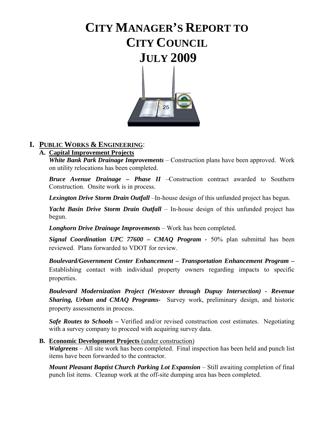# **CITY MANAGER'S REPORT TO CITY COUNCIL JULY 2009**



## **I. PUBLIC WORKS & ENGINEERING**:

## **A. Capital Improvement Projects**

*White Bank Park Drainage Improvements* – Construction plans have been approved. Work on utility relocations has been completed.

*Bruce Avenue Drainage – Phase II* –Construction contract awarded to Southern Construction. Onsite work is in process.

*Lexington Drive Storm Drain Outfall* –In-house design of this unfunded project has begun.

*Yacht Basin Drive Storm Drain Outfall* – In-house design of this unfunded project has begun.

*Longhorn Drive Drainage Improvements* – Work has been completed.

*Signal Coordination UPC 77600 – CMAQ Program -* 50% plan submittal has been reviewed. Plans forwarded to VDOT for review.

*Boulevard/Government Center Enhancement – Transportation Enhancement Program –* Establishing contact with individual property owners regarding impacts to specific properties.

*Boulevard Modernization Project (Westover through Dupuy Intersection) - Revenue Sharing, Urban and CMAQ Programs-* Survey work, preliminary design, and historic property assessments in process.

**Safe Routes to Schools** – Verified and/or revised construction cost estimates. Negotiating with a survey company to proceed with acquiring survey data.

## **B. Economic Development Projects** (under construction)

*Walgreens* – All site work has been completed. Final inspection has been held and punch list items have been forwarded to the contractor.

*Mount Pleasant Baptist Church Parking Lot Expansion* – Still awaiting completion of final punch list items. Cleanup work at the off-site dumping area has been completed.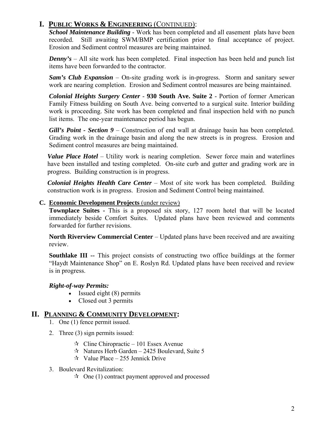*School Maintenance Building* - Work has been completed and all easement plats have been recorded. Still awaiting SWM/BMP certification prior to final acceptance of project. Erosion and Sediment control measures are being maintained.

*Denny's* – All site work has been completed. Final inspection has been held and punch list items have been forwarded to the contractor.

*Sam's Club Expansion* – On-site grading work is in-progress. Storm and sanitary sewer work are nearing completion. Erosion and Sediment control measures are being maintained.

*Colonial Heights Surgery Center* - **930 South Ave. Suite 2** - Portion of former American Family Fitness building on South Ave. being converted to a surgical suite. Interior building work is proceeding. Site work has been completed and final inspection held with no punch list items. The one-year maintenance period has begun.

*Gill's Point - Section 9 –* Construction of end wall at drainage basin has been completed. Grading work in the drainage basin and along the new streets is in progress. Erosion and Sediment control measures are being maintained.

*Value Place Hotel* – Utility work is nearing completion. Sewer force main and waterlines have been installed and testing completed. On-site curb and gutter and grading work are in progress. Building construction is in progress.

*Colonial Heights Health Care Center –* Most of site work has been completed. Building construction work is in progress. Erosion and Sediment Control being maintained.

## **C. Economic Development Projects** (under review)

**Townplace Suites -** This is a proposed six story, 127 room hotel that will be located immediately beside Comfort Suites. Updated plans have been reviewed and comments forwarded for further revisions.

**North Riverview Commercial Center** – Updated plans have been received and are awaiting review.

**Southlake III --** This project consists of constructing two office buildings at the former "Haydt Maintenance Shop" on E. Roslyn Rd. Updated plans have been received and review is in progress.

## *Right-of-way Permits:*

- Issued eight (8) permits
- Closed out 3 permits

## **II. PLANNING & COMMUNITY DEVELOPMENT:**

- 1. One (1) fence permit issued.
- 2. Three (3) sign permits issued:
	- $\approx$  Cline Chiropractic 101 Essex Avenue
	- $\approx$  Natures Herb Garden 2425 Boulevard, Suite 5
	- $\approx$  Value Place 255 Jennick Drive
- 3. Boulevard Revitalization:
	- $\lambda$  One (1) contract payment approved and processed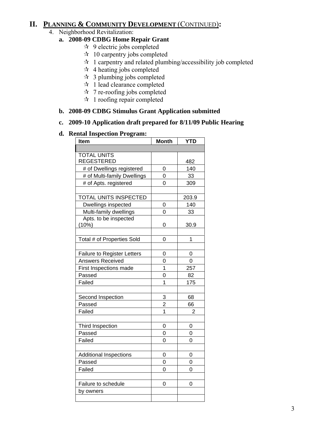## **II. PLANNING & COMMUNITY DEVELOPMENT** (CONTINUED)**:**

## 4. Neighborhood Revitalization:

## **a. 2008-09 CDBG Home Repair Grant**

- $\approx$  9 electric jobs completed
- $\approx$  10 carpentry jobs completed
- $\hat{z}$  1 carpentry and related plumbing/accessibility job completed
- $\star$  4 heating jobs completed
- $\approx$  3 plumbing jobs completed
- $\star$  1 lead clearance completed
- $\star$  7 re-roofing jobs completed
- $\star$  1 roofing repair completed

## **b. 2008-09 CDBG Stimulus Grant Application submitted**

## **c. 2009-10 Application draft prepared for 8/11/09 Public Hearing**

## **d. Rental Inspection Program:**

| Item                               | <b>Month</b>   | <b>YTD</b>     |
|------------------------------------|----------------|----------------|
|                                    |                |                |
| <b>TOTAL UNITS</b>                 |                |                |
| <b>REGESTERED</b>                  |                | 482            |
| # of Dwellings registered          | 0              | 140            |
| # of Multi-family Dwellings        | $\overline{0}$ | 33             |
| # of Apts. registered              | 0              | 309            |
|                                    |                |                |
| TOTAL UNITS INSPECTED              |                | 203.9          |
| Dwellings inspected                | 0              | 140            |
| Multi-family dwellings             | 0              | 33             |
| Apts. to be inspected              |                |                |
| (10%)                              | 0              | 30.9           |
|                                    |                |                |
| Total # of Properties Sold         | 0              | 1              |
|                                    |                |                |
| <b>Failure to Register Letters</b> | 0              | 0              |
| Answers Received                   | $\overline{0}$ | $\overline{0}$ |
| First Inspections made             | $\overline{1}$ | 257            |
| Passed                             | 0              | 82             |
| Failed                             | 1              | 175            |
|                                    |                |                |
| Second Inspection                  | 3              | 68             |
| Passed                             | $\overline{c}$ | 66             |
| Failed                             | $\overline{1}$ | 2              |
|                                    |                |                |
| Third Inspection                   | 0              | 0              |
| Passed                             | 0              | 0              |
| Failed                             | 0              | 0              |
|                                    |                |                |
| <b>Additional Inspections</b>      | 0              | 0              |
| Passed                             | 0              | $\overline{0}$ |
| Failed                             | 0              | 0              |
|                                    |                |                |
| Failure to schedule                | 0              | 0              |
| by owners                          |                |                |
|                                    |                |                |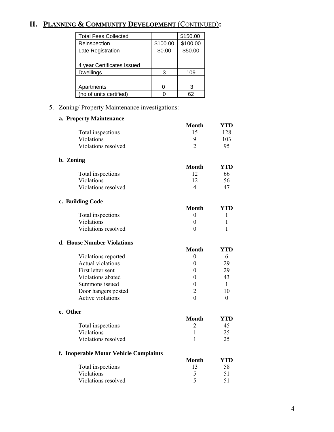# **II. PLANNING & COMMUNITY DEVELOPMENT** (CONTINUED)**:**

| <b>Total Fees Collected</b> |          | \$150.00 |
|-----------------------------|----------|----------|
| Reinspection                | \$100.00 | \$100.00 |
| Late Registration           | \$0.00   | \$50.00  |
|                             |          |          |
| 4 year Certificates Issued  |          |          |
| <b>Dwellings</b>            | З        | 109      |
|                             |          |          |
| Apartments                  |          | З        |
| (no of units certified)     |          | 62       |

5. Zoning/ Property Maintenance investigations:

## **a. Property Maintenance**

|                                        | <b>Month</b>     | YTD          |
|----------------------------------------|------------------|--------------|
| Total inspections                      | 15               | 128          |
| Violations                             | 9                | 103          |
| Violations resolved                    | $\overline{2}$   | 95           |
| b. Zoning                              |                  |              |
|                                        | <b>Month</b>     | <b>YTD</b>   |
| Total inspections                      | 12               | 66           |
| Violations                             | 12               | 56           |
| Violations resolved                    | $\overline{4}$   | 47           |
| c. Building Code                       |                  |              |
|                                        | <b>Month</b>     | <b>YTD</b>   |
| Total inspections                      | $\boldsymbol{0}$ | 1            |
| Violations                             | $\overline{0}$   | 1            |
| Violations resolved                    | $\theta$         | 1            |
| d. House Number Violations             |                  |              |
|                                        | <b>Month</b>     | <b>YTD</b>   |
| Violations reported                    | $\boldsymbol{0}$ | 6            |
| Actual violations                      | $\boldsymbol{0}$ | 29           |
| First letter sent                      | $\theta$         | 29           |
| Violations abated                      | 0                | 43           |
| Summons issued                         | $\boldsymbol{0}$ | $\mathbf{1}$ |
| Door hangers posted                    | $\overline{c}$   | 10           |
| <b>Active violations</b>               | $\theta$         | 0            |
| e. Other                               |                  |              |
|                                        | <b>Month</b>     | <b>YTD</b>   |
| Total inspections                      | $\overline{2}$   | 45           |
| Violations                             | $\mathbf{1}$     | 25           |
| Violations resolved                    | $\mathbf{1}$     | 25           |
| f. Inoperable Motor Vehicle Complaints |                  |              |
|                                        | <b>Month</b>     | <b>YTD</b>   |
| Total inspections                      | 13               | 58           |
| Violations                             | 5                | 51           |
| Violations resolved                    | 5                | 51           |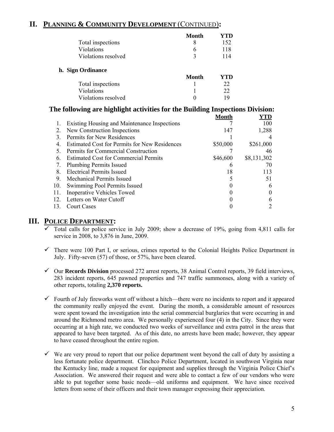## **II. PLANNING & COMMUNITY DEVELOPMENT** (CONTINUED)**:**

|                     | Month | YTD |
|---------------------|-------|-----|
| Total inspections   | 8     | 152 |
| Violations          | 6     | 118 |
| Violations resolved | 3     | 114 |
| h. Sign Ordinance   |       |     |
|                     | Month | YTD |
| Total inspections   |       | 22  |
| Violations          |       | 22  |
| Violations resolved |       | 19  |

|     | The following are highlight activities for the Building Inspections Division: |          |             |
|-----|-------------------------------------------------------------------------------|----------|-------------|
|     |                                                                               | Month    | YTD         |
|     | Existing Housing and Maintenance Inspections                                  |          | 100         |
|     | New Construction Inspections                                                  | 147      | 1,288       |
| 3   | Permits for New Residences                                                    |          |             |
| 4   | <b>Estimated Cost for Permits for New Residences</b>                          | \$50,000 | \$261,000   |
|     | Permits for Commercial Construction                                           |          | 46          |
| 6.  | <b>Estimated Cost for Commercial Permits</b>                                  | \$46,600 | \$8,131,302 |
|     | <b>Plumbing Permits Issued</b>                                                | h        | 70          |
| 8.  | Electrical Permits Issued                                                     | 18       | 113         |
| 9.  | Mechanical Permits Issued                                                     |          | 51          |
| 10. | Swimming Pool Permits Issued                                                  |          | 6           |
| 11. | <b>Inoperative Vehicles Towed</b>                                             |          |             |
| 12  | Letters on Water Cutoff                                                       |          |             |
| 13. | Court Cases                                                                   |          |             |

## **III. POLICE DEPARTMENT:**

- 9 Total calls for police service in July 2009; show a decrease of 19%, going from 4,811 calls for service in 2008, to 3,876 in June, 2009.
- $\checkmark$  There were 100 Part I, or serious, crimes reported to the Colonial Heights Police Department in July. Fifty-seven (57) of those, or 57%, have been cleared.
- 9 Our **Records Division** processed 272 arrest reports, 38 Animal Control reports, 39 field interviews, 283 incident reports, 645 pawned properties and 747 traffic summonses, along with a variety of other reports, totaling **2,370 reports.**
- $\checkmark$  Fourth of July fireworks went off without a hitch—there were no incidents to report and it appeared the community really enjoyed the event. During the month, a considerable amount of resources were spent toward the investigation into the serial commercial burglaries that were occurring in and around the Richmond metro area. We personally experienced four (4) in the City. Since they were occurring at a high rate, we conducted two weeks of surveillance and extra patrol in the areas that appeared to have been targeted. As of this date, no arrests have been made; however, they appear to have ceased throughout the entire region.
- $\checkmark$  We are very proud to report that our police department went beyond the call of duty by assisting a less fortunate police department. Clinchco Police Department, located in southwest Virginia near the Kentucky line, made a request for equipment and supplies through the Virginia Police Chief's Association. We answered their request and were able to contact a few of our vendors who were able to put together some basic needs—old uniforms and equipment. We have since received letters from some of their officers and their town manager expressing their appreciation.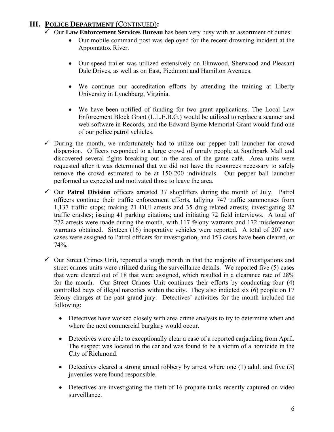# **III. POLICE DEPARTMENT** (CONTINUED)**:**

- $\overline{\smile}$  Our **Law Enforcement Services Bureau** has been very busy with an assortment of duties:
	- Our mobile command post was deployed for the recent drowning incident at the Appomattox River.
	- Our speed trailer was utilized extensively on Elmwood, Sherwood and Pleasant Dale Drives, as well as on East, Piedmont and Hamilton Avenues.
	- We continue our accreditation efforts by attending the training at Liberty University in Lynchburg, Virginia.
	- We have been notified of funding for two grant applications. The Local Law Enforcement Block Grant (L.L.E.B.G.) would be utilized to replace a scanner and web software in Records, and the Edward Byrne Memorial Grant would fund one of our police patrol vehicles.
- $\checkmark$  During the month, we unfortunately had to utilize our pepper ball launcher for crowd dispersion. Officers responded to a large crowd of unruly people at Southpark Mall and discovered several fights breaking out in the area of the game café. Area units were requested after it was determined that we did not have the resources necessary to safely remove the crowd estimated to be at 150-200 individuals. Our pepper ball launcher performed as expected and motivated those to leave the area.
- 9 Our **Patrol Division** officers arrested 37 shoplifters during the month of July. Patrol officers continue their traffic enforcement efforts, tallying 747 traffic summonses from 1,137 traffic stops; making 21 DUI arrests and 35 drug-related arrests; investigating 82 traffic crashes; issuing 41 parking citations; and initiating 72 field interviews. A total of 272 arrests were made during the month, with 117 felony warrants and 172 misdemeanor warrants obtained. Sixteen (16) inoperative vehicles were reported. A total of 207 new cases were assigned to Patrol officers for investigation, and 153 cases have been cleared, or 74%.
- $\checkmark$  Our Street Crimes Unit, reported a tough month in that the majority of investigations and street crimes units were utilized during the surveillance details. We reported five (5) cases that were cleared out of 18 that were assigned, which resulted in a clearance rate of 28% for the month. Our Street Crimes Unit continues their efforts by conducting four (4) controlled buys of illegal narcotics within the city. They also indicted six (6) people on 17 felony charges at the past grand jury. Detectives' activities for the month included the following:
	- Detectives have worked closely with area crime analysts to try to determine when and where the next commercial burglary would occur.
	- Detectives were able to exceptionally clear a case of a reported carjacking from April. The suspect was located in the car and was found to be a victim of a homicide in the City of Richmond.
	- Detectives cleared a strong armed robbery by arrest where one (1) adult and five (5) juveniles were found responsible.
	- Detectives are investigating the theft of 16 propane tanks recently captured on video surveillance.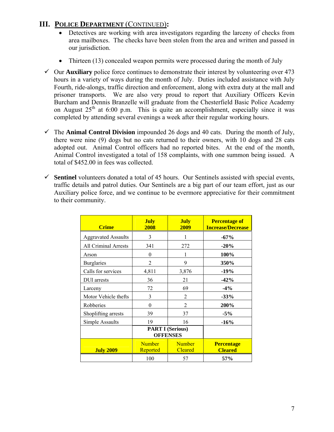## **III. POLICE DEPARTMENT** (CONTINUED)**:**

- Detectives are working with area investigators regarding the larceny of checks from area mailboxes. The checks have been stolen from the area and written and passed in our jurisdiction.
- Thirteen (13) concealed weapon permits were processed during the month of July
- $\checkmark$  Our **Auxiliary** police force continues to demonstrate their interest by volunteering over 473 hours in a variety of ways during the month of July. Duties included assistance with July Fourth, ride-alongs, traffic direction and enforcement, along with extra duty at the mall and prisoner transports. We are also very proud to report that Auxiliary Officers Kevin Burcham and Dennis Branzelle will graduate from the Chesterfield Basic Police Academy on August  $25<sup>th</sup>$  at 6:00 p.m. This is quite an accomplishment, especially since it was completed by attending several evenings a week after their regular working hours.
- $\checkmark$  The **Animal Control Division** impounded 26 dogs and 40 cats. During the month of July, there were nine (9) dogs but no cats returned to their owners, with 10 dogs and 28 cats adopted out. Animal Control officers had no reported bites. At the end of the month, Animal Control investigated a total of 158 complaints, with one summon being issued. A total of \$452.00 in fees was collected.
- $\checkmark$  Sentinel volunteers donated a total of 45 hours. Our Sentinels assisted with special events, traffic details and patrol duties. Our Sentinels are a big part of our team effort, just as our Auxiliary police force, and we continue to be evermore appreciative for their commitment to their community.

| <b>Crime</b>                | <b>July</b><br>2008                        | <b>July</b><br>2009             | <b>Percentage of</b><br><b>Increase/Decrease</b> |
|-----------------------------|--------------------------------------------|---------------------------------|--------------------------------------------------|
| <b>Aggravated Assaults</b>  | 3                                          |                                 | $-67%$                                           |
| <b>All Criminal Arrests</b> | 341                                        | 272                             | $-20%$                                           |
| Arson                       | $\theta$                                   | 1                               | 100%                                             |
| <b>Burglaries</b>           | $\overline{2}$                             | 9                               | 350%                                             |
| Calls for services          | 4,811                                      | 3,876                           | $-19%$                                           |
| <b>DUI</b> arrests          | 36                                         | 21                              | $-42%$                                           |
| Larceny                     | 72                                         | 69                              | $-4%$                                            |
| Motor Vehicle thefts        | 3                                          | 2                               | $-33%$                                           |
| Robberies                   | $\theta$                                   | 2                               | 200%                                             |
| Shoplifting arrests         | 39                                         | 37                              | $-5%$                                            |
| Simple Assaults             | 19                                         | 16                              | $-16%$                                           |
|                             | <b>PART I (Serious)</b><br><b>OFFENSES</b> |                                 |                                                  |
| <b>July 2009</b>            | <b>Number</b><br><b>Reported</b>           | <b>Number</b><br><b>Cleared</b> | <b>Percentage</b><br><b>Cleared</b>              |
|                             | 100                                        | 57                              | 57%                                              |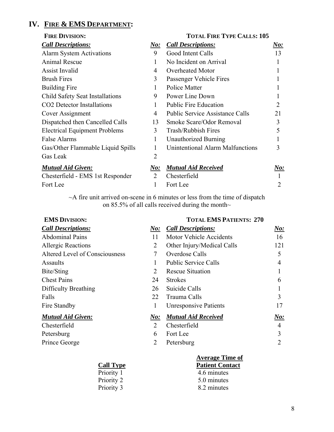# **IV. FIRE & EMS DEPARTMENT:**

| <b>FIRE DIVISION:</b>                  |                             | <b>TOTAL FIRE TYPE CALLS: 105</b>       |                            |
|----------------------------------------|-----------------------------|-----------------------------------------|----------------------------|
| <b>Call Descriptions:</b>              | $\bm{No:}$                  | <b>Call Descriptions:</b>               | $\underline{\textit{No:}}$ |
| <b>Alarm System Activations</b>        | 9                           | Good Intent Calls                       | 13                         |
| Animal Rescue                          | 1                           | No Incident on Arrival                  |                            |
| <b>Assist Invalid</b>                  | 4                           | Overheated Motor                        | 1                          |
| <b>Brush Fires</b>                     | 3                           | Passenger Vehicle Fires                 |                            |
| <b>Building Fire</b>                   | $\mathbf{1}$                | <b>Police Matter</b>                    |                            |
| Child Safety Seat Installations        | 9                           | Power Line Down                         |                            |
| CO <sub>2</sub> Detector Installations | 1                           | <b>Public Fire Education</b>            | 2                          |
| Cover Assignment                       | 4                           | <b>Public Service Assistance Calls</b>  | 21                         |
| Dispatched then Cancelled Calls        | 13                          | Smoke Scare/Odor Removal                | 3                          |
| <b>Electrical Equipment Problems</b>   | 3                           | <b>Trash/Rubbish Fires</b>              | 5                          |
| <b>False Alarms</b>                    | 1                           | Unauthorized Burning                    |                            |
| Gas/Other Flammable Liquid Spills      | 1                           | <b>Unintentional Alarm Malfunctions</b> | 3                          |
| Gas Leak                               | 2                           |                                         |                            |
| <b>Mutual Aid Given:</b>               | $\boldsymbol{\it No:}$      | <b>Mutual Aid Received</b>              | $\boldsymbol{\it No:}$     |
| Chesterfield - EMS 1st Responder       | $\mathcal{D}_{\mathcal{L}}$ | Chesterfield                            |                            |
| Fort Lee                               |                             | Fort Lee                                | 2                          |

~A fire unit arrived on-scene in 6 minutes or less from the time of dispatch on 85.5% of all calls received during the month $\sim$ 

|  | <b>EMS DIVISION:</b> |
|--|----------------------|
|--|----------------------|

## **TOTAL EMS PATIENTS: 270**

| <b>Call Descriptions:</b>      | $N\mathbf{o}$ :             | <b>Call Descriptions:</b>      | $\boldsymbol{\it No:}$ |
|--------------------------------|-----------------------------|--------------------------------|------------------------|
| <b>Abdominal Pains</b>         | 11                          | <b>Motor Vehicle Accidents</b> | 16                     |
| <b>Allergic Reactions</b>      | 2                           | Other Injury/Medical Calls     | 121                    |
| Altered Level of Consciousness |                             | Overdose Calls                 | 5                      |
| Assaults                       |                             | <b>Public Service Calls</b>    | 4                      |
| Bite/Sting                     | 2                           | <b>Rescue Situation</b>        |                        |
| <b>Chest Pains</b>             | 24                          | <b>Strokes</b>                 | 6                      |
| Difficulty Breathing           | 26                          | Suicide Calls                  |                        |
| Falls                          | 22                          | Trauma Calls                   | 3                      |
| Fire Standby                   |                             | <b>Unresponsive Patients</b>   | 17                     |
| <b>Mutual Aid Given:</b>       | $N$ o:                      | <b>Mutual Aid Received</b>     | $N\boldsymbol{o}$ :    |
| Chesterfield                   | $\mathcal{D}_{\mathcal{L}}$ | Chesterfield                   | 4                      |
| Petersburg                     | 6                           | Fort Lee                       | 3                      |
| Prince George                  |                             | Petersburg                     |                        |

|                  | <b>Average Time of</b> |  |
|------------------|------------------------|--|
| <b>Call Type</b> | <b>Patient Contact</b> |  |
| Priority 1       | 4.6 minutes            |  |
| Priority 2       | 5.0 minutes            |  |
| Priority 3       | 8.2 minutes            |  |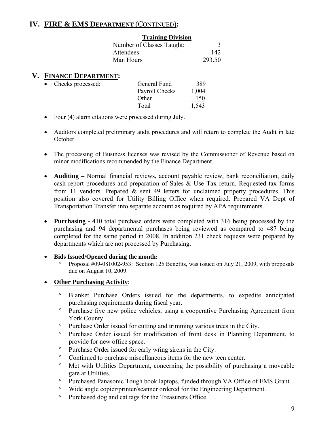# **IV. FIRE & EMS DEPARTMENT** (CONTINUED)**:**

| <b>Training Division</b>  |        |
|---------------------------|--------|
| Number of Classes Taught: | 13     |
| Attendees:                | 142    |
| Man Hours                 | 293.50 |

## **V. FINANCE DEPARTMENT:**

| • Checks processed: | General Fund   | 389          |
|---------------------|----------------|--------------|
|                     | Payroll Checks | 1,004        |
|                     | Other          | 150          |
|                     | Total          | <u>1.543</u> |

- Four (4) alarm citations were processed during July.
- Auditors completed preliminary audit procedures and will return to complete the Audit in late October.
- The processing of Business licenses was revised by the Commissioner of Revenue based on minor modifications recommended by the Finance Department.
- **Auditing** Normal financial reviews, account payable review, bank reconciliation, daily cash report procedures and preparation of Sales & Use Tax return. Requested tax forms from 11 vendors. Prepared & sent 49 letters for unclaimed property procedures. This position also covered for Utility Billing Office when required. Prepared VA Dept of Transportation Transfer into separate account as required by APA requirements.
- **Purchasing** 410 total purchase orders were completed with 316 being processed by the purchasing and 94 departmental purchases being reviewed as compared to 487 being completed for the same period in 2008. In addition 231 check requests were prepared by departments which are not processed by Purchasing.
- **Bids Issued/Opened during the month:** 
	- Proposal #09-081002-953: Section 125 Benefits, was issued on July 21, 2009, with proposals due on August 10, 2009.
- **Other Purchasing Activity**:
	- ° Blanket Purchase Orders issued for the departments, to expedite anticipated purchasing requirements during fiscal year.
	- ° Purchase five new police vehicles, using a cooperative Purchasing Agreement from York County.
	- ° Purchase Order issued for cutting and trimming various trees in the City.
	- ° Purchase Order issued for modification of front desk in Planning Department, to provide for new office space.
	- ° Purchase Order issued for early wring sirens in the City.
	- ° Continued to purchase miscellaneous items for the new teen center.
	- ° Met with Utilities Department, concerning the possibility of purchasing a moveable gate at Utilities.
	- ° Purchased Panasonic Tough book laptops, funded through VA Office of EMS Grant.
	- ° Wide angle copier/printer/scanner ordered for the Engineering Department.
	- ° Purchased dog and cat tags for the Treasurers Office.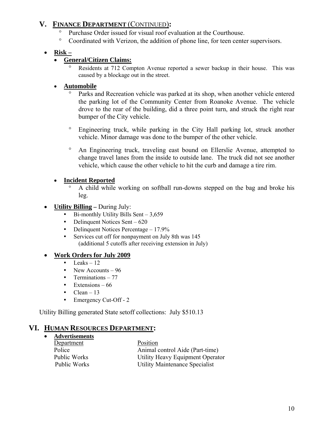# **V. FINANCE DEPARTMENT** (CONTINUED)**:**

- Purchase Order issued for visual roof evaluation at the Courthouse.
- ° Coordinated with Verizon, the addition of phone line, for teen center supervisors.

## • **Risk –**

## • **General/Citizen Claims:**

° Residents at 712 Compton Avenue reported a sewer backup in their house. This was caused by a blockage out in the street.

## • **Automobile**

- Parks and Recreation vehicle was parked at its shop, when another vehicle entered the parking lot of the Community Center from Roanoke Avenue. The vehicle drove to the rear of the building, did a three point turn, and struck the right rear bumper of the City vehicle.
- ° Engineering truck, while parking in the City Hall parking lot, struck another vehicle. Minor damage was done to the bumper of the other vehicle.
- ° An Engineering truck, traveling east bound on Ellerslie Avenue, attempted to change travel lanes from the inside to outside lane. The truck did not see another vehicle, which cause the other vehicle to hit the curb and damage a tire rim.

## • **Incident Reported**

- ° A child while working on softball run-downs stepped on the bag and broke his leg.
- **Utility Billing** During July:
	- $Bi$ -monthly Utility Bills Sent 3,659
	- $\blacksquare$  Delinquent Notices Sent 620
	- Delinquent Notices Percentage 17.9%
	- Services cut off for nonpayment on July 8th was 145 (additional 5 cutoffs after receiving extension in July)

## • **Work Orders for July 2009**

- $\blacksquare$  Leaks 12
- New Accounts 96
- Terminations  $-77$
- Extensions  $-66$
- $Clear 13$
- **Emergency Cut-Off 2**

Utility Billing generated State setoff collections: July \$510.13

# **VI. HUMAN RESOURCES DEPARTMENT:**

- **Advertisements**
	- **Department** Position<br>Police Animal of

Animal control Aide (Part-time) Public Works Utility Heavy Equipment Operator Public Works Utility Maintenance Specialist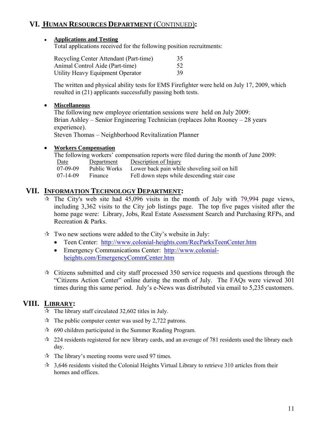# **VI. HUMAN RESOURCES DEPARTMENT** (CONTINUED)**:**

#### ● **Applications and Testing**

Total applications received for the following position recruitments:

| Recycling Center Attendant (Part-time) | 35  |
|----------------------------------------|-----|
| Animal Control Aide (Part-time)        | 52  |
| Utility Heavy Equipment Operator       | 39. |

The written and physical ability tests for EMS Firefighter were held on July 17, 2009, which resulted in (21) applicants successfully passing both tests.

#### • **Miscellaneous**

The following new employee orientation sessions were held on July 2009: Brian Ashley – Senior Engineering Technician (replaces John Rooney – 28 years experience). Steven Thomas – Neighborhood Revitalization Planner

## • **Workers Compensation**

The following workers' compensation reports were filed during the month of June 2009: Date Department Description of Injury<br>07-09-09 Public Works Lower back pain while Public Works Lower back pain while shoveling soil on hill 07-14-09 Finance Fell down steps while descending stair case

## **VII. INFORMATION TECHNOLOGY DEPARTMENT:**

- $\hat{x}$  The City's web site had 45,096 visits in the month of July with 79,994 page views, including 3,362 visits to the City job listings page. The top five pages visited after the home page were: Library, Jobs, Real Estate Assessment Search and Purchasing RFPs, and Recreation & Parks.
- $\hat{x}$  Two new sections were added to the City's website in July:
	- Teen Center: http://www.colonial-heights.com/RecParksTeenCenter.htm
	- Emergency Communications Center: http://www.colonialheights.com/EmergencyCommCenter.htm
- $\star$  Citizens submitted and city staff processed 350 service requests and questions through the "Citizens Action Center" online during the month of July. The FAQs were viewed 301 times during this same period. July's e-News was distributed via email to 5,235 customers.

## **VIII. LIBRARY:**

- $\hat{x}$  The library staff circulated 32,602 titles in July.
- $\hat{x}$  The public computer center was used by 2,722 patrons.
- 690 children participated in the Summer Reading Program.
- $\approx$  224 residents registered for new library cards, and an average of 781 residents used the library each day.
- $\hat{x}$  The library's meeting rooms were used 97 times.
- $\approx$  3,646 residents visited the Colonial Heights Virtual Library to retrieve 310 articles from their homes and offices.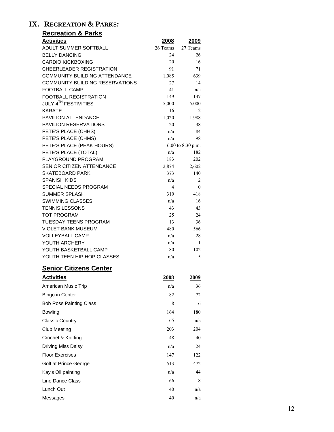## **IX. RECREATION & PARKS:**

| <u>Recreation &amp; Parks</u>                        |             |                   |
|------------------------------------------------------|-------------|-------------------|
| <b>Activities</b>                                    | 2008        | 2009              |
| ADULT SUMMER SOFTBALL                                | 26 Teams    | 27 Teams          |
| <b>BELLY DANCING</b>                                 | 24          | 26                |
| <b>CARDIO KICKBOXING</b>                             | 20          | 16                |
| CHEERLEADER REGISTRATION                             | 91          | 71                |
| <b>COMMUNITY BUILDING ATTENDANCE</b>                 | 1,085       | 639               |
| <b>COMMUNITY BUILDING RESERVATIONS</b>               | 27          | 14                |
| <b>FOOTBALL CAMP</b><br><b>FOOTBALL REGISTRATION</b> | 41<br>149   | n/a<br>147        |
| JULY 4 <sup>TH</sup> FESTIVITIES                     | 5,000       | 5,000             |
| <b>KARATE</b>                                        | 16          | 12                |
| <b>PAVILION ATTENDANCE</b>                           | 1,020       | 1,988             |
| PAVILION RESERVATIONS                                | 20          | 38                |
| PETE'S PLACE (CHHS)                                  | n/a         | 84                |
| PETE'S PLACE (CHMS)                                  | n/a         | 98                |
| PETE'S PLACE (PEAK HOURS)                            |             | 6:00 to 8:30 p.m. |
| PETE'S PLACE (TOTAL)                                 | n/a         | 182               |
| PLAYGROUND PROGRAM                                   | 183         | 202               |
| SENIOR CITIZEN ATTENDANCE                            | 2,874       | 2,602             |
| <b>SKATEBOARD PARK</b>                               | 373         | 140               |
| <b>SPANISH KIDS</b>                                  | n/a         | 2                 |
| SPECIAL NEEDS PROGRAM                                | 4           | $\mathbf{0}$      |
| <b>SUMMER SPLASH</b>                                 | 310         | 418               |
| <b>SWIMMING CLASSES</b>                              | n/a         | 16                |
| <b>TENNIS LESSONS</b><br><b>TOT PROGRAM</b>          | 43<br>25    | 43<br>24          |
| <b>TUESDAY TEENS PROGRAM</b>                         | 13          | 36                |
| <b>VIOLET BANK MUSEUM</b>                            | 480         | 566               |
| <b>VOLLEYBALL CAMP</b>                               | n/a         | 28                |
| YOUTH ARCHERY                                        | n/a         | 1                 |
| YOUTH BASKETBALL CAMP                                | 80          | 102               |
| YOUTH TEEN HIP HOP CLASSES                           | n/a         | 5                 |
| <b>Senior Citizens Center</b>                        |             |                   |
|                                                      |             |                   |
| <b>Activities</b>                                    | <u>2008</u> | 2009              |
| American Music Trip                                  | n/a         | 36                |
| <b>Bingo in Center</b>                               | 82          | 72                |
| <b>Bob Ross Painting Class</b>                       | 8           | 6                 |
| <b>Bowling</b>                                       | 164         | 180               |
| <b>Classic Country</b>                               | 65          | n/a               |
| <b>Club Meeting</b>                                  | 203         | 204               |
| Crochet & Knitting                                   | 48          | 40                |
| Driving Miss Daisy                                   | n/a         | 24                |
| <b>Floor Exercises</b>                               | 147         | 122               |
| Golf at Prince George                                | 513         | 472               |
| Kay's Oil painting                                   | n/a         | 44                |
| Line Dance Class                                     | 66          | 18                |
| Lunch Out                                            | 40          | n/a               |
| Messages                                             | 40          | n/a               |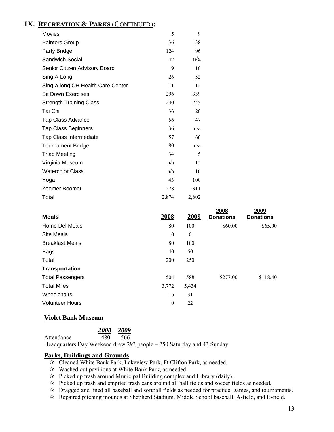# **IX. RECREATION & PARKS** (CONTINUED)**:**

| Movies                            | 5     | 9     |
|-----------------------------------|-------|-------|
| Painters Group                    | 36    | 38    |
| Party Bridge                      | 124   | 96    |
| Sandwich Social                   | 42    | n/a   |
| Senior Citizen Advisory Board     | 9     | 10    |
| Sing A-Long                       | 26    | 52    |
| Sing-a-long CH Health Care Center | 11    | 12    |
| <b>Sit Down Exercises</b>         | 296   | 339   |
| <b>Strength Training Class</b>    | 240   | 245   |
| Tai Chi                           | 36    | 26    |
| Tap Class Advance                 | 56    | 47    |
| <b>Tap Class Beginners</b>        | 36    | n/a   |
| Tap Class Intermediate            | 57    | 66    |
| <b>Tournament Bridge</b>          | 80    | n/a   |
| <b>Triad Meeting</b>              | 34    | 5     |
| Virginia Museum                   | n/a   | 12    |
| <b>Watercolor Class</b>           | n/a   | 16    |
| Yoga                              | 43    | 100   |
| Zoomer Boomer                     | 278   | 311   |
| Total                             | 2,874 | 2,602 |

| 2008         | 2009     | 2008<br><b>Donations</b> | 2009<br><b>Donations</b> |
|--------------|----------|--------------------------|--------------------------|
| 80           | 100      | \$60.00                  | \$65.00                  |
| $\mathbf{0}$ | $\theta$ |                          |                          |
| 80           | 100      |                          |                          |
| 40           | 50       |                          |                          |
| 200          | 250      |                          |                          |
|              |          |                          |                          |
| 504          | 588      | \$277.00                 | \$118.40                 |
| 3,772        | 5,434    |                          |                          |
| 16           | 31       |                          |                          |
| $\mathbf{0}$ | 22       |                          |                          |
|              |          |                          |                          |

## **Violet Bank Museum**

| 2008 | 2009 |
|------|------|
| 10 A | 500  |

Attendance 480 566 Headquarters Day Weekend drew 293 people – 250 Saturday and 43 Sunday

#### **Parks, Buildings and Grounds**

- Cleaned White Bank Park, Lakeview Park, Ft Clifton Park, as needed.
- $\forall$  Washed out pavilions at White Bank Park, as needed.
- $\mathcal{R}$  Picked up trash around Municipal Building complex and Library (daily).
- $\mathcal{R}$  Picked up trash and emptied trash cans around all ball fields and soccer fields as needed.
- Dragged and lined all baseball and softball fields as needed for practice, games, and tournaments.
- Repaired pitching mounds at Shepherd Stadium, Middle School baseball, A-field, and B-field.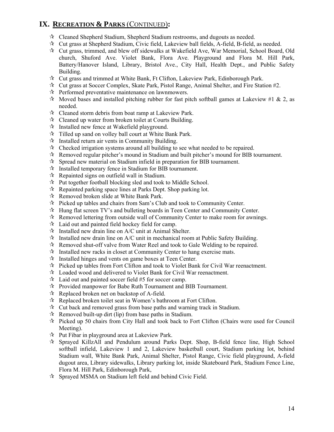# **IX. RECREATION & PARKS** (CONTINUED)**:**

- $\mathcal{R}$  Cleaned Shepherd Stadium, Shepherd Stadium restrooms, and dugouts as needed.
- $\mathcal{R}$  Cut grass at Shepherd Stadium, Civic field, Lakeview ball fields, A-field, B-field, as needed.
- Cut grass, trimmed, and blew off sidewalks at Wakefield Ave, War Memorial, School Board, Old church, Shuford Ave. Violet Bank, Flora Ave. Playground and Flora M. Hill Park, Battery/Hanover Island, Library, Bristol Ave., City Hall, Health Dept., and Public Safety Building.
- $\mathcal{R}$  Cut grass and trimmed at White Bank, Ft Clifton, Lakeview Park, Edinborough Park.
- $\mathcal{R}$  Cut grass at Soccer Complex, Skate Park, Pistol Range, Animal Shelter, and Fire Station #2.
- $\mathcal{R}$  Performed preventative maintenance on lawnmowers.
- $\star$  Moved bases and installed pitching rubber for fast pitch softball games at Lakeview #1 & 2, as needed.
- $\mathcal{R}$  Cleaned storm debris from boat ramp at Lakeview Park.
- $\mathcal{R}$  Cleaned up water from broken toilet at Courts Building.
- $\mathcal{A}$  Installed new fence at Wakefield playground.
- $\hat{x}$  Tilled up sand on volley ball court at White Bank Park.
- $\mathcal{R}$  Installed return air vents in Community Building.
- $\mathcal{R}$  Checked irrigation systems around all building to see what needed to be repaired.
- $\mathcal{R}$  Removed regular pitcher's mound in Stadium and built pitcher's mound for BIB tournament.
- $\mathcal{R}$  Spread new material on Stadium infield in preparation for BIB tournament.
- $\mathcal{R}$  Installed temporary fence in Stadium for BIB tournament.
- $\mathcal{R}$  Repainted signs on outfield wall in Stadium.
- $\mathcal{R}$  Put together football blocking sled and took to Middle School.
- $\mathcal{R}$  Repainted parking space lines at Parks Dept. Shop parking lot.
- $\mathcal{R}$  Removed broken slide at White Bank Park.
- $\mathcal{R}$  Picked up tables and chairs from Sam's Club and took to Community Center.
- $\mathcal{H}$  Hung flat screen TV's and bulleting boards in Teen Center and Community Center.
- $\mathcal{R}$  Removed lettering from outside wall of Community Center to make room for awnings.
- $\mathcal{R}$  Laid out and painted field hockey field for camp.
- $\mathcal{R}$  Installed new drain line on A/C unit at Animal Shelter.
- $\mathcal{R}$  Installed new drain line on A/C unit in mechanical room at Public Safety Building.
- $\mathcal{R}$  Removed shut-off valve from Water Reel and took to Gale Welding to be repaired.
- $\mathcal{R}$  Installed new racks in closet at Community Center to hang exercise mats.
- $\mathcal{R}$  Installed hinges and vents on game boxes at Teen Center.
- Picked up tables from Fort Clifton and took to Violet Bank for Civil War reenactment.
- Loaded wood and delivered to Violet Bank for Civil War reenactment.
- $\approx$  Laid out and painted soccer field #5 for soccer camp.
- Provided manpower for Babe Ruth Tournament and BIB Tournament.
- $\mathcal{R}$  Replaced broken net on backstop of A-field.
- $\hat{X}$  Replaced broken toilet seat in Women's bathroom at Fort Clifton.
- $\mathcal{R}$  Cut back and removed grass from base paths and warning track in Stadium.
- $\mathcal{R}$  Removed built-up dirt (lip) from base paths in Stadium.
- $\mathcal{R}$  Picked up 50 chairs from City Hall and took back to Fort Clifton (Chairs were used for Council Meeting).
- $\mathcal{R}$  Put Fibar in playground area at Lakeview Park.
- Sprayed KillzAll and Pendulum around Parks Dept. Shop, B-field fence line, High School softball infield, Lakeview 1 and 2, Lakeview basketball court, Stadium parking lot, behind Stadium wall, White Bank Park, Animal Shelter, Pistol Range, Civic field playground, A-field dugout area, Library sidewalks, Library parking lot, inside Skateboard Park, Stadium Fence Line, Flora M. Hill Park, Edinborough Park,
- Sprayed MSMA on Stadium left field and behind Civic Field.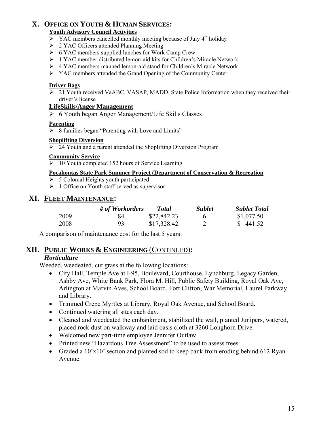# **X. OFFICE ON YOUTH & HUMAN SERVICES:**

## **Youth Advisory Council Activities**

- $\triangleright$  YAC members cancelled monthly meeting because of July 4<sup>th</sup> holiday
- $\geq 2$  YAC Officers attended Planning Meeting
- $\triangleright$  6 YAC members supplied lunches for Work Camp Crew
- ¾ 1 YAC member distributed lemon-aid kits for Children's Miracle Network
- ¾ 4 YAC members manned lemon-aid stand for Children's Miracle Network
- ¾ YAC members attended the Grand Opening of the Community Center

#### **Driver Bags**

¾ 21 Youth received VaABC, VASAP, MADD, State Police Information when they received their driver's license

#### **LifeSkills/Anger Management**

¾ 6 Youth began Anger Management/Life Skills Classes

#### **Parenting**

 $\triangleright$  8 families began "Parenting with Love and Limits"

#### **Shoplifting Diversion**

¾ 24 Youth and a parent attended the Shoplifting Diversion Program

#### **Community Service**

 $\geq 10$  Youth completed 152 hours of Service Learning

## **Pocahontas State Park Summer Project (Department of Conservation & Recreation**

- $\geq 5$  Colonial Heights youth participated
- $\geq 1$  Office on Youth staff served as supervisor

## **XI. FLEET MAINTENANCE:**

|      | # of Workorders | Total       | Sublet | <b>Sublet Total</b> |
|------|-----------------|-------------|--------|---------------------|
| 2009 | 84              | \$22,842.23 |        | \$1,077.50          |
| 2008 | 93              | \$17,328.42 |        | \$441.52            |

A comparison of maintenance cost for the last 5 years:

## **XII. PUBLIC WORKS & ENGINEERING** (CONTINUED)**:**

## *Horticulture*

Weeded, weedeated, cut grass at the following locations:

- City Hall, Temple Ave at I-95, Boulevard, Courthouse, Lynchburg, Legacy Garden, Ashby Ave, White Bank Park, Flora M. Hill, Public Safety Building, Royal Oak Ave, Arlington at Marvin Aves, School Board, Fort Clifton, War Memorial, Laurel Parkway and Library.
- Trimmed Crepe Myrtles at Library, Royal Oak Avenue, and School Board.
- Continued watering all sites each day.
- Cleaned and weedeated the embankment, stabilized the wall, planted Junipers, watered, placed rock dust on walkway and laid oasis cloth at 3260 Longhorn Drive.
- Welcomed new part-time employee Jennifer Outlaw.
- Printed new "Hazardous Tree Assessment" to be used to assess trees.
- Graded a 10'x10' section and planted sod to keep bank from eroding behind 612 Ryan Avenue.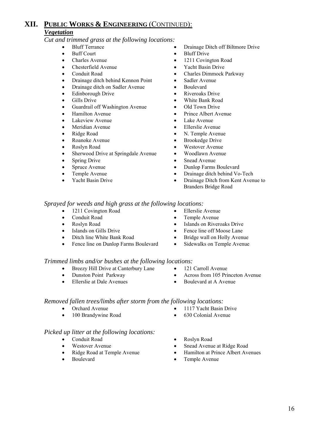## **XII. PUBLIC WORKS & ENGINEERING** (CONTINUED): *Vegetation*

*Cut and trimmed grass at the following locations:* 

- 
- 
- 
- Chesterfield Avenue Yacht Basin Drive
- 
- Drainage ditch behind Kennon Point Sadler Avenue
- Drainage ditch on Sadler Avenue Boulevard
- Edinborough Drive Riveroaks Drive
- 
- Guardrail off Washington Avenue Old Town Drive
- 
- Lakeview Avenue Lake Avenue Lake Avenue Lake Avenue Lake Avenue Lake Avenue Lake Avenue Lake Avenue  $\blacksquare$
- Meridian Avenue Ellerslie Avenue
- 
- Roanoke Avenue Brookedge Drive
- 
- Sherwood Drive at Springdale Avenue Woodlawn Avenue
- Spring Drive Snead Avenue
- 
- 
- 
- Bluff Terrance Drainage Ditch off Biltmore Drive
- Buff Court Bluff Drive
- Charles Avenue 1211 Covington Road
	-
- Conduit Road Charles Dimmock Parkway
	-
	-
	-
- Gills Drive White Bank Road
	-
- Hamilton Avenue Prince Albert Avenue
	-
	-
- Ridge Road N. Temple Avenue
	-
- Roslyn Road Westover Avenue
	-
	-
- Spruce Avenue Dunlop Farms Boulevard
	- Temple Avenue Drainage ditch behind Vo-Tech
- Yacht Basin Drive Drainage Ditch from Kent Avenue to Branders Bridge Road

#### *Sprayed for weeds and high grass at the following locations:*

- 
- 
- 
- 
- 
- Fence line on Dunlop Farms Boulevard Sidewalks on Temple Avenue
	-
- *Trimmed limbs and/or bushes at the following locations:*  Breezy Hill Drive at Canterbury Lane • 121 Carroll Avenue
	-
	-
	-
- 
- Dunston Point Parkway Across from 105 Princeton Avenue
- Ellerslie at Dale Avenues Boulevard at A Avenue

#### *Removed fallen trees/limbs after storm from the following locations:*

- Orchard Avenue 1117 Yacht Basin Drive
- 100 Brandywine Road 630 Colonial Avenue

#### *Picked up litter at the following locations:*

- Conduit Road Roslyn Road
- 
- 
- 
- 
- Westover Avenue Snead Avenue at Ridge Road
	- Ridge Road at Temple Avenue Hamilton at Prince Albert Avenues
	- Boulevard Temple Avenue

- 1211 Covington Road Ellerslie Avenue
- Conduit Road Temple Avenue
- Roslyn Road Islands on Riveroaks Drive
- Islands on Gills Drive Fence line off Moose Lane
	- Ditch line White Bank Road Bridge wall on Holly Avenue
		-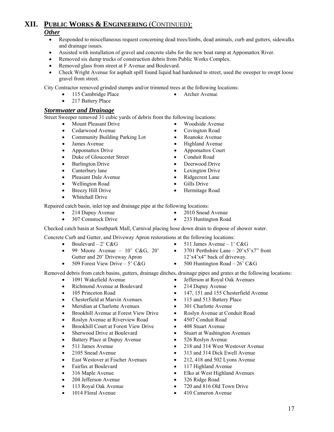#### *Other*

- Responded to miscellaneous request concerning dead trees/limbs, dead animals, curb and gutters, sidewalks and drainage issues.
- Assisted with installation of gravel and concrete slabs for the new boat ramp at Appomattox River.
- Removed six dump trucks of construction debris from Public Works Complex.
- Removed glass from street at F Avenue and Boulevard.
- Check Wright Avenue for asphalt spill found liquid had hardened to street, used the sweeper to swept loose gravel from street.

City Contractor removed grinded stumps and/or trimmed trees at the following locations:

- 115 Cambridge Place Archer Avenue
- 217 Battery Place

#### *Stormwater and Drainage*

Street Sweeper removed 31 cubic yards of debris from the following locations:

- Mount Pleasant Drive Woodside Avenue
	- Cedarwood Avenue Covington Road
	- Community Building Parking Lot Roanoke Avenue
	-
	- Appomattox Drive Appomattox Court
	- Duke of Gloucester Street Conduit Road
	- Burlington Drive Deerwood Drive
	-
	- Pleasant Dale Avenue Ridgecrest Lane
	- Wellington Road Gills Drive
	- Breezy Hill Drive Hermitage Road
	- Whitehall Drive
- James Avenue Highland Avenue
	-
	-
	-
	-
	-
	-
	-

Repaired catch basin, inlet top and drainage pipe at the following locations:

- 
- 
- 214 Dupuy Avenue 2010 Snead Avenue
- 307 Comstock Drive 233 Huntington Road

Checked catch basin at Southpark Mall, Carnival placing hose down drain to dispose of shower water.

Concrete Curb and Gutter, and Driveway Apron restorations at the following locations:

- Boulevard 2' C&G 511 James Avenue 1' C&G
- 99 Moore Avenue  $10'$  C&G,  $20'$ Gutter and 20' Driveway Apron
- 3701 Perthshire Lane  $-20'x5'x7''$  front 12'x4'x4" back of driveway.
- 509 Forest View Drive 5' C&G 500 Huntington Road 26' C&G

Removed debris from catch basins, gutters, drainage ditches, drainage pipes and grates at the following locations:

- 1091 Wakefield Avenue Jefferson at Royal Oak Avenues
- Richmond Avenue at Boulevard 214 Dupuy Avenue
- 
- Chesterfield at Marvin Avenues 115 and 513 Battery Place
- Meridian at Charlotte Avenues 301 Charlotte Avenue
- Brookhill Avenue at Forest View Drive Roslyn Avenue at Conduit Road
- Roslyn Avenue at Riverview Road 4507 Conduit Road
- Brookhill Court at Forest View Drive 408 Stuart Avenue
- Sherwood Drive at Boulevard Stuart at Washington Avenues
- Battery Place at Dupuy Avenue 526 Roslyn Avenue
- 
- 
- 
- 
- 
- 
- 
- 
- 
- 
- 105 Princeton Road 147, 151 and 155 Chesterfield Avenue
	-
	-
	-
	-
	-
	-
	-
- 511 James Avenue 218 and 314 West Westover Avenue
- 2105 Snead Avenue 313 and 314 Dick Ewell Avenue
	- East Westover at Fischer Avenues 212, 418 and 502 Lyons Avenue
	- Fairfax at Boulevard 117 Highland Avenue
	- 316 Maple Avenue Elko at West Highland Avenues
	- 204 Jefferson Avenue 326 Ridge Road
	- 113 Royal Oak Avenue 720 and 816 Old Town Drive
	- 1014 Floral Avenue 410 Cameron Avenue
- Canterbury lane Lexington Drive
	-
	-
	-
	- - -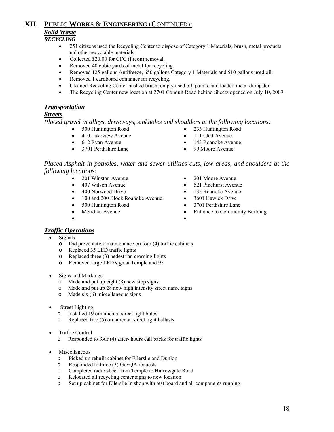#### **XII. PUBLIC WORKS & ENGINEERING** (CONTINUED): *Solid Waste RECYCLING*

- 251 citizens used the Recycling Center to dispose of Category 1 Materials, brush, metal products and other recyclable materials.
- Collected \$20.00 for CFC (Freon) removal.
- Removed 40 cubic yards of metal for recycling.
- Removed 125 gallons Antifreeze, 650 gallons Category 1 Materials and 510 gallons used oil.
- Removed 1 cardboard container for recycling.
- Cleaned Recycling Center pushed brush, empty used oil, paints, and loaded metal dumpster.
- The Recycling Center new location at 2701 Conduit Road behind Sheetz opened on July 10, 2009.

#### *Transportation*

#### *Streets*

*Placed gravel in alleys, driveways, sinkholes and shoulders at the following locations:* 

- 500 Huntington Road 233 Huntington Road
- 410 Lakeview Avenue 1112 Jett Avenue
- 612 Ryan Avenue 143 Roanoke Avenue
- 
- 
- 
- 
- 
- 3701 Perthshire Lane 99 Moore Avenue

*Placed Asphalt in potholes, water and sewer utilities cuts, low areas, and shoulders at the following locations:* 

- 
- 
- 
- 100 and 200 Block Roanoke Avenue 3601 Hawick Drive
- 
- 
- 201 Winston Avenue 201 Moore Avenue
- 407 Wilson Avenue 521 Pinehurst Avenue
	- 400 Norwood Drive 135 Roanoke Avenue
		-
- 500 Huntington Road 3701 Perthshire Lane
	- Meridian Avenue Entrance to Community Building
- •

#### *Traffic Operations*

- **Signals** 
	- o Did preventative maintenance on four (4) traffic cabinets
	- o Replaced 35 LED traffic lights
	- o Replaced three (3) pedestrian crossing lights
	- o Removed large LED sign at Temple and 95
- Signs and Markings
	- o Made and put up eight (8) new stop signs.
	- o Made and put up 28 new high intensity street name signs
	- o Made six (6) miscellaneous signs
- **Street Lighting** 
	- o Installed 19 ornamental street light bulbs
	- o Replaced five (5) ornamental street light ballasts
- Traffic Control

o Responded to four (4) after- hours call backs for traffic lights

- **Miscellaneous** 
	- o Picked up rebuilt cabinet for Ellerslie and Dunlop
	- o Responded to three (3) GovQA requests
	- o Completed radio sheet from Temple to Harrowgate Road
	- o Relocated all recycling center signs to new location
	- o Set up cabinet for Ellerslie in shop with test board and all components running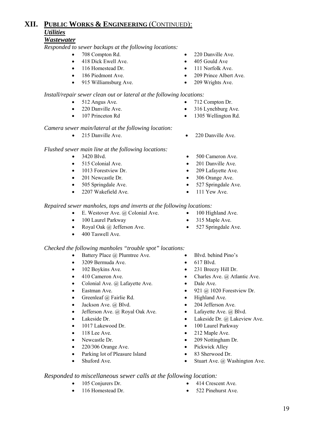#### *Wastewater*

*Responded to sewer backups at the following locations:*

- 
- 418 Dick Ewell Ave. 405 Gould Ave.
- 116 Homestead Dr. 111 Norfolk Ave.
- 
- 915 Williamsburg Ave. 209 Wrights Ave.

#### *Install/repair sewer clean out or lateral at the following locations:*

- 512 Angus Ave. 712 Compton Dr.
- 220 Danville Ave. 316 Lynchburg Ave.
- 

#### *Camera sewer main/lateral at the following location:*

• 215 Danville Ave. • 220 Danville Ave.

#### *Flushed sewer main line at the following locations:*

- 
- 
- 1013 Forestview Dr. 209 Lafayette Ave.
- 
- 
- 2207 Wakefield Ave. 111 Yew Ave.

#### *Repaired sewer manholes, tops and inverts at the following locations:*

- E. Westover Ave. @ Colonial Ave. 100 Highland Ave.
- 100 Laurel Parkway 315 Maple Ave.
- **Royal Oak @ Jefferson Ave.** 527 Springdale Ave.
- 400 Taswell Ave.

#### *Checked the following manholes "trouble spot" locations:*

- Battery Place @ Plumtree Ave. Blvd. behind Pino's
- 3209 Bermuda Ave. 617 Blvd.
- 102 Boykins Ave. 231 Breezy Hill Dr.
- 
- Colonial Ave. @ Lafayette Ave. Dale Ave.
- 
- Greenleaf @ Fairlie Rd. Highland Ave.
- 
- Jefferson Ave. @ Royal Oak Ave. Lafayette Ave. @ Blvd.
- 
- 1017 Lakewood Dr. 100 Laurel Parkway
- 
- 
- 220/306 Orange Ave. Pickwick Alley
- Parking lot of Pleasure Island 83 Sherwood Dr.
- 
- 708 Compton Rd. 220 Danville Ave.
	-
	-
- 186 Piedmont Ave. 209 Prince Albert Ave.
	-
	-
	-
- 107 Princeton Rd 1305 Wellington Rd.
	-
- 3420 Blvd. 500 Cameron Ave.
- 515 Colonial Ave. 201 Danville Ave.
	-
	- 201 Newcastle Dr. 306 Orange Ave.
	- 505 Springdale Ave. 527 Springdale Ave.
		-
		-
		-
		-
		-
		-
		-
	- 410 Cameron Ave. Charles Ave. @ Atlantic Ave.
		-
	- **Eastman Ave.** 921 @ 1020 Forestview Dr.
		-
	- Jackson Ave. @ Blvd. 204 Jefferson Ave.
		-
- Lakeside Dr. Lakeside Dr. @ Lakeview Ave.
	-
	- 118 Lee Ave. 212 Maple Ave.
	- Newcastle Dr. 209 Nottingham Dr.
		-
		-
	- Stuart Ave. @ Washington Ave.

#### *Responded to miscellaneous sewer calls at the following location:*

- 
- 
- 105 Conjurers Dr. 414 Crescent Ave.
	- 116 Homestead Dr. 522 Pinehurst Ave.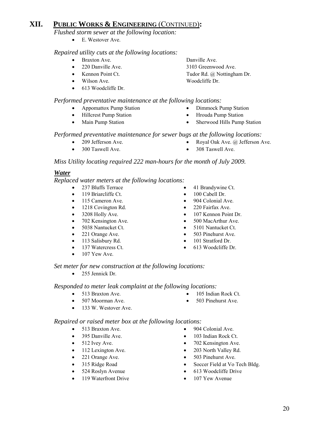*Flushed storm sewer at the following location:* 

• E. Westover Ave.

#### *Repaired utility cuts at the following locations:*

- Braxton Ave. Danville Ave.
- 
- 
- 
- 613 Woodcliffe Dr.

#### *Performed preventative maintenance at the following locations:*

- Appomattox Pump Station Dimmock Pump Station
- 
- 
- 220 Danville Ave. 3103 Greenwood Ave. • Kennon Point Ct. Tudor Rd. @ Nottingham Dr. Wilson Ave. Woodcliffe Dr.
	- -
- Main Pump Station Sherwood Hills Pump Station

#### *Performed preventative maintenance for sewer bugs at the following locations:*

- 
- 300 Taswell Ave. 308 Taswell Ave.

*Miss Utility locating required 222 man-hours for the month of July 2009.* 

#### *Water*

#### *Replaced water meters at the following locations:*

- 237 Bluffs Terrace 41 Brandywine Ct.
- 119 Briarcliffe Ct. 100 Cabell Dr.
- 
- 1218 Covington Rd. 220 Fairfax Ave.
- 
- 
- 
- 
- 
- 
- $\bullet$  107 Yew Ave.
- 
- 
- 115 Cameron Ave. 904 Colonial Ave.
	-
	- 3208 Holly Ave. 107 Kennon Point Dr.
	- 702 Kensington Ave. 500 MacArthur Ave.
	- 5038 Nantucket Ct. 5101 Nantucket Ct.
	- 221 Orange Ave. 503 Pinehurst Ave.
- 113 Salisbury Rd. 101 Stratford Dr.
- 137 Watercress Ct. **•** 613 Woodcliffe Dr.

#### *Set meter for new construction at the following locations:*

• 255 Jennick Dr.

#### *Responded to meter leak complaint at the following locations:*

- 513 Braxton Ave. 105 Indian Rock Ct.
- 507 Moorman Ave. 503 Pinehurst Ave.
- 133 W. Westover Ave.

#### *Repaired or raised meter box at the following locations:*

- 
- 
- 
- 
- 
- 
- 
- 119 Waterfront Drive 107 Yew Avenue
- 513 Braxton Ave. 904 Colonial Ave.
- 395 Danville Ave. 103 Indian Rock Ct.
- 512 Ivey Ave. 702 Kensington Ave.
- 112 Lexington Ave. 203 North Valley Rd.
	- 221 Orange Ave. 503 Pinehurst Ave.
	- 315 Ridge Road Soccer Field at Vo Tech Bldg.
	- 524 Roslyn Avenue 613 Woodcliffe Drive
		-
- Hillcrest Pump Station Hrouda Pump Station
	-
	-
- 209 Jefferson Ave. Royal Oak Ave. @ Jefferson Ave.
	-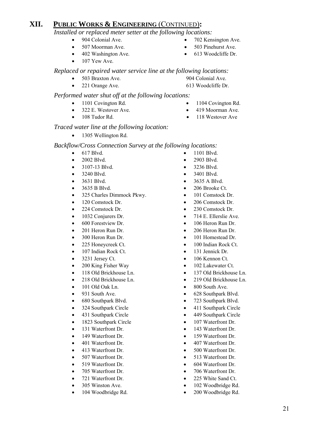*Installed or replaced meter setter at the following locations:*

- 
- 507 Moorman Ave. 503 Pinehurst Ave.
- 
- $\bullet$  107 Yew Ave.
- 904 Colonial Ave. 702 Kensington Ave.
	-
	- 402 Washington Ave. 613 Woodcliffe Dr.

*Replaced or repaired water service line at the following locations:* 

• 503 Braxton Ave. 904 Colonial Ave.

## *Performed water shut off at the following locations:*

- 1101 Covington Rd. 1104 Covington Rd.
- 322 E. Westover Ave. 419 Moorman Ave.
- 
- 
- 
- 108 Tudor Rd. 118 Westover Ave

#### *Traced water line at the following location:*

• 1305 Wellington Rd.

#### *Backflow/Cross Connection Survey at the following locations:*

- 
- 
- 
- 
- 
- 
- 325 Charles Dimmock Pkwy. 101 Comstock Dr.
- 120 Comstock Dr. 206 Comstock Dr.
- 
- 1032 Conjurers Dr. 714 E. Ellerslie Ave.
- 600 Forestview Dr. 106 Heron Run Dr.
- 201 Heron Run Dr. 206 Heron Run Dr.
- 
- 
- 107 Indian Rock Ct. 131 Jennick Dr.
- 
- 200 King Fisher Way 102 Lakewater Ct.
- 
- 
- 101 Old Oak Ln. 800 South Ave.
- 
- 
- 
- 431 Southpark Circle 449 Southpark Circle
- 
- 
- 
- 
- 
- 
- 
- 
- 
- 
- 
- 617 Blvd. 1101 Blvd.
- 2002 Blvd. 2903 Blvd.
- 3107-13 Blvd. 3236 Blvd.
- 3240 Blvd. 3401 Blvd.
- 3631 Blvd. 3635 A Blvd.
- 3635 B Blvd. 206 Brooke Ct.
	-
	-
	- 224 Comstock Dr. 230 Comstock Dr.
		-
		-
		-
	- 300 Heron Run Dr. 101 Homestead Dr.
	- 225 Honeycreek Ct. 100 Indian Rock Ct.
		-
	- 3231 Jersey Ct. 106 Kennon Ct.
		-
- 118 Old Brickhouse Ln. 137 Old Brickhouse Ln.
- 218 Old Brickhouse Ln. 219 Old Brickhouse Ln.
	-
- 931 South Ave. 628 Southpark Blvd.
	- 680 Southpark Blvd. 723 Southpark Blvd.
	- 324 Southpark Circle 411 Southpark Circle
		-
	- 1823 Southpark Circle 107 Waterfront Dr.
- 131 Waterfront Dr. 143 Waterfront Dr.
	- 149 Waterfront Dr. 159 Waterfront Dr.
- 401 Waterfront Dr. 407 Waterfront Dr.
	- 413 Waterfront Dr. 500 Waterfront Dr.
	- 507 Waterfront Dr. 513 Waterfront Dr.
	- 519 Waterfront Dr. 604 Waterfront Dr.
	- 705 Waterfront Dr. 706 Waterfront Dr.
- 721 Waterfront Dr. 225 White Sand Ct.
	- 305 Winston Ave. 102 Woodbridge Rd.
	- 104 Woodbridge Rd. 200 Woodbridge Rd.
- 221 Orange Ave. 613 Woodcliffe Dr.
	-
	-
	-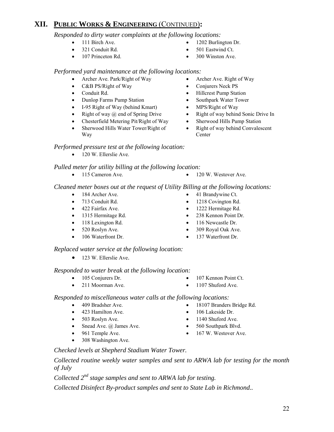## *Responded to dirty water complaints at the following locations:*

- 
- 
- 107 Princeton Rd. 300 Winston Ave.
- 111 Birch Ave. 1202 Burlington Dr.
- 321 Conduit Rd. 501 Eastwind Ct.
	-

#### *Performed yard maintenance at the following locations:*

- Archer Ave. Park/Right of Way Archer Ave. Right of Way
- C&B PS/Right of Way Conjurers Neck PS
- Conduit Rd. Hillcrest Pump Station
- Dunlop Farms Pump Station Southpark Water Tower
- I-95 Right of Way (behind Kmart) MPS/Right of Way
- Right of way @ end of Spring Drive Right of way behind Sonic Drive In
- Chesterfield Metering Pit/Right of Way Sherwood Hills Pump Station
- Sherwood Hills Water Tower/Right of Way

#### *Performed pressure test at the following location:*

• 120 W. Ellerslie Ave.

## *Pulled meter for utility billing at the following location:*

• 115 Cameron Ave. • 120 W. Westover Ave.

#### *Cleaned meter boxes out at the request of Utility Billing at the following locations:*

- 184 Archer Ave. 41 Brandywine Ct.
- 
- 422 Fairfax Ave. 1222 Hermitage Rd.
- 1315 Hermitage Rd. 238 Kennon Point Dr.
- 118 Lexington Rd. 116 Newcastle Dr.
- 
- 

## *Replaced water service at the following location:*

• 123 W. Ellerslie Ave.

## *Responded to water break at the following location:*

- 
- 211 Moorman Ave. 1107 Shuford Ave.
- 105 Conjurers Dr. 107 Kennon Point Ct.
	-

#### *Responded to miscellaneous water calls at the following locations:*

- 409 Bradsher Ave. 18107 Branders Bridge Rd.
- 423 Hamilton Ave. 106 Lakeside Dr.
- 503 Roslyn Ave. 1140 Shuford Ave.
- Snead Ave. @ James Ave. 560 Southpark Blvd.
- 961 Temple Ave. 167 W. Westover Ave.
- 308 Washington Ave.
- *Checked levels at Shepherd Stadium Water Tower.*

*Collected routine weekly water samples and sent to ARWA lab for testing for the month of July* 

*Collected 2nd stage samples and sent to ARWA lab for testing.* 

*Collected Disinfect By-product samples and sent to State Lab in Richmond..* 

- 
- 

**Center** 

• Right of way behind Convalescent

- 713 Conduit Rd. 1218 Covington Rd.
	-
	-
	-
- 520 Roslyn Ave. 309 Royal Oak Ave.
- 106 Waterfront Dr. 137 Waterfront Dr.